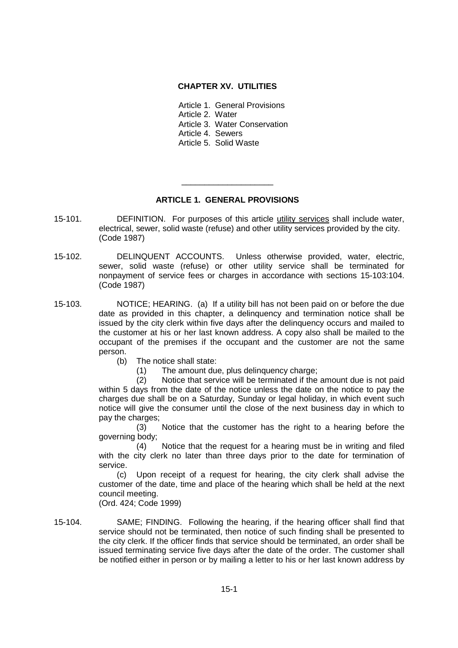### **CHAPTER XV. UTILITIES**

Article 1. General Provisions

Article 2. Water

Article 3. Water Conservation

Article 4. Sewers

Article 5. Solid Waste

# **ARTICLE 1. GENERAL PROVISIONS**

\_\_\_\_\_\_\_\_\_\_\_\_\_\_\_\_\_\_\_\_

- 15-101. DEFINITION. For purposes of this article utility services shall include water, electrical, sewer, solid waste (refuse) and other utility services provided by the city. (Code 1987)
- 15-102. DELINQUENT ACCOUNTS. Unless otherwise provided, water, electric, sewer, solid waste (refuse) or other utility service shall be terminated for nonpayment of service fees or charges in accordance with sections 15-103:104. (Code 1987)
- 15-103. NOTICE; HEARING. (a) If a utility bill has not been paid on or before the due date as provided in this chapter, a delinquency and termination notice shall be issued by the city clerk within five days after the delinquency occurs and mailed to the customer at his or her last known address. A copy also shall be mailed to the occupant of the premises if the occupant and the customer are not the same person.
	- (b) The notice shall state:
		- (1) The amount due, plus delinquency charge;

(2) Notice that service will be terminated if the amount due is not paid within 5 days from the date of the notice unless the date on the notice to pay the charges due shall be on a Saturday, Sunday or legal holiday, in which event such notice will give the consumer until the close of the next business day in which to pay the charges;

(3) Notice that the customer has the right to a hearing before the governing body;

(4) Notice that the request for a hearing must be in writing and filed with the city clerk no later than three days prior to the date for termination of service.

(c) Upon receipt of a request for hearing, the city clerk shall advise the customer of the date, time and place of the hearing which shall be held at the next council meeting.

(Ord. 424; Code 1999)

15-104. SAME; FINDING. Following the hearing, if the hearing officer shall find that service should not be terminated, then notice of such finding shall be presented to the city clerk. If the officer finds that service should be terminated, an order shall be issued terminating service five days after the date of the order. The customer shall be notified either in person or by mailing a letter to his or her last known address by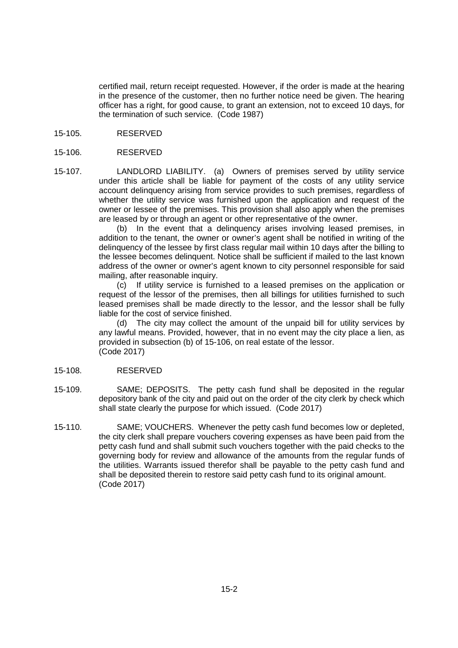certified mail, return receipt requested. However, if the order is made at the hearing in the presence of the customer, then no further notice need be given. The hearing officer has a right, for good cause, to grant an extension, not to exceed 10 days, for the termination of such service. (Code 1987)

15-105. RESERVED

### 15-106. RESERVED

15-107. LANDLORD LIABILITY. (a) Owners of premises served by utility service under this article shall be liable for payment of the costs of any utility service account delinquency arising from service provides to such premises, regardless of whether the utility service was furnished upon the application and request of the owner or lessee of the premises. This provision shall also apply when the premises are leased by or through an agent or other representative of the owner.

(b) In the event that a delinquency arises involving leased premises, in addition to the tenant, the owner or owner's agent shall be notified in writing of the delinquency of the lessee by first class regular mail within 10 days after the billing to the lessee becomes delinquent. Notice shall be sufficient if mailed to the last known address of the owner or owner's agent known to city personnel responsible for said mailing, after reasonable inquiry.

(c) If utility service is furnished to a leased premises on the application or request of the lessor of the premises, then all billings for utilities furnished to such leased premises shall be made directly to the lessor, and the lessor shall be fully liable for the cost of service finished.

(d) The city may collect the amount of the unpaid bill for utility services by any lawful means. Provided, however, that in no event may the city place a lien, as provided in subsection (b) of 15-106, on real estate of the lessor. (Code 2017)

#### 15-108. RESERVED

- 15-109. SAME; DEPOSITS. The petty cash fund shall be deposited in the regular depository bank of the city and paid out on the order of the city clerk by check which shall state clearly the purpose for which issued. (Code 2017)
- 15-110. SAME; VOUCHERS. Whenever the petty cash fund becomes low or depleted, the city clerk shall prepare vouchers covering expenses as have been paid from the petty cash fund and shall submit such vouchers together with the paid checks to the governing body for review and allowance of the amounts from the regular funds of the utilities. Warrants issued therefor shall be payable to the petty cash fund and shall be deposited therein to restore said petty cash fund to its original amount. (Code 2017)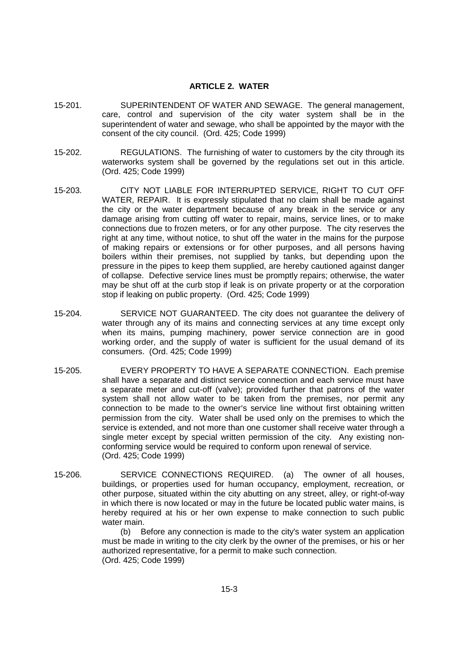#### **ARTICLE 2. WATER**

- 15-201. SUPERINTENDENT OF WATER AND SEWAGE. The general management, care, control and supervision of the city water system shall be in the superintendent of water and sewage, who shall be appointed by the mayor with the consent of the city council. (Ord. 425; Code 1999)
- 15-202. REGULATIONS. The furnishing of water to customers by the city through its waterworks system shall be governed by the regulations set out in this article. (Ord. 425; Code 1999)
- 15-203. CITY NOT LIABLE FOR INTERRUPTED SERVICE, RIGHT TO CUT OFF WATER, REPAIR. It is expressly stipulated that no claim shall be made against the city or the water department because of any break in the service or any damage arising from cutting off water to repair, mains, service lines, or to make connections due to frozen meters, or for any other purpose. The city reserves the right at any time, without notice, to shut off the water in the mains for the purpose of making repairs or extensions or for other purposes, and all persons having boilers within their premises, not supplied by tanks, but depending upon the pressure in the pipes to keep them supplied, are hereby cautioned against danger of collapse. Defective service lines must be promptly repairs; otherwise, the water may be shut off at the curb stop if leak is on private property or at the corporation stop if leaking on public property. (Ord. 425; Code 1999)
- 15-204. SERVICE NOT GUARANTEED. The city does not guarantee the delivery of water through any of its mains and connecting services at any time except only when its mains, pumping machinery, power service connection are in good working order, and the supply of water is sufficient for the usual demand of its consumers. (Ord. 425; Code 1999)
- 15-205. EVERY PROPERTY TO HAVE A SEPARATE CONNECTION. Each premise shall have a separate and distinct service connection and each service must have a separate meter and cut-off (valve); provided further that patrons of the water system shall not allow water to be taken from the premises, nor permit any connection to be made to the owner's service line without first obtaining written permission from the city. Water shall be used only on the premises to which the service is extended, and not more than one customer shall receive water through a single meter except by special written permission of the city. Any existing nonconforming service would be required to conform upon renewal of service. (Ord. 425; Code 1999)
- 15-206. SERVICE CONNECTIONS REQUIRED. (a) The owner of all houses, buildings, or properties used for human occupancy, employment, recreation, or other purpose, situated within the city abutting on any street, alley, or right-of-way in which there is now located or may in the future be located public water mains, is hereby required at his or her own expense to make connection to such public water main.

(b) Before any connection is made to the city's water system an application must be made in writing to the city clerk by the owner of the premises, or his or her authorized representative, for a permit to make such connection. (Ord. 425; Code 1999)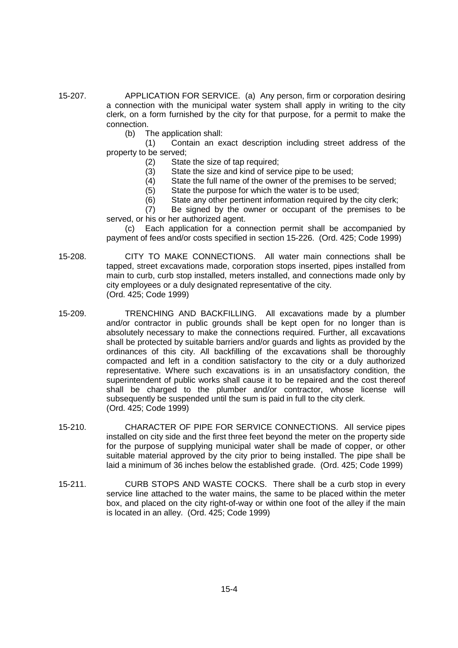- 15-207. APPLICATION FOR SERVICE. (a) Any person, firm or corporation desiring a connection with the municipal water system shall apply in writing to the city clerk, on a form furnished by the city for that purpose, for a permit to make the connection.
	- (b) The application shall:
	- (1) Contain an exact description including street address of the property to be served;
		- (2) State the size of tap required;
		- (3) State the size and kind of service pipe to be used;
		- (4) State the full name of the owner of the premises to be served;
		- (5) State the purpose for which the water is to be used;
		- (6) State any other pertinent information required by the city clerk;

(7) Be signed by the owner or occupant of the premises to be served, or his or her authorized agent.

(c) Each application for a connection permit shall be accompanied by payment of fees and/or costs specified in section 15-226. (Ord. 425; Code 1999)

- 15-208. CITY TO MAKE CONNECTIONS. All water main connections shall be tapped, street excavations made, corporation stops inserted, pipes installed from main to curb, curb stop installed, meters installed, and connections made only by city employees or a duly designated representative of the city. (Ord. 425; Code 1999)
- 15-209. TRENCHING AND BACKFILLING. All excavations made by a plumber and/or contractor in public grounds shall be kept open for no longer than is absolutely necessary to make the connections required. Further, all excavations shall be protected by suitable barriers and/or guards and lights as provided by the ordinances of this city. All backfilling of the excavations shall be thoroughly compacted and left in a condition satisfactory to the city or a duly authorized representative. Where such excavations is in an unsatisfactory condition, the superintendent of public works shall cause it to be repaired and the cost thereof shall be charged to the plumber and/or contractor, whose license will subsequently be suspended until the sum is paid in full to the city clerk. (Ord. 425; Code 1999)
- 15-210. CHARACTER OF PIPE FOR SERVICE CONNECTIONS. All service pipes installed on city side and the first three feet beyond the meter on the property side for the purpose of supplying municipal water shall be made of copper, or other suitable material approved by the city prior to being installed. The pipe shall be laid a minimum of 36 inches below the established grade. (Ord. 425; Code 1999)
- 15-211. CURB STOPS AND WASTE COCKS. There shall be a curb stop in every service line attached to the water mains, the same to be placed within the meter box, and placed on the city right-of-way or within one foot of the alley if the main is located in an alley. (Ord. 425; Code 1999)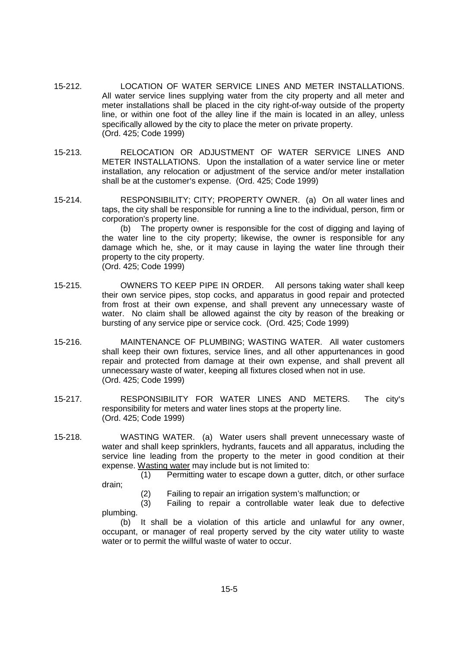- 15-212. LOCATION OF WATER SERVICE LINES AND METER INSTALLATIONS. All water service lines supplying water from the city property and all meter and meter installations shall be placed in the city right-of-way outside of the property line, or within one foot of the alley line if the main is located in an alley, unless specifically allowed by the city to place the meter on private property. (Ord. 425; Code 1999)
- 15-213. RELOCATION OR ADJUSTMENT OF WATER SERVICE LINES AND METER INSTALLATIONS. Upon the installation of a water service line or meter installation, any relocation or adjustment of the service and/or meter installation shall be at the customer's expense. (Ord. 425; Code 1999)
- 15-214. RESPONSIBILITY; CITY; PROPERTY OWNER. (a) On all water lines and taps, the city shall be responsible for running a line to the individual, person, firm or corporation's property line.

(b) The property owner is responsible for the cost of digging and laying of the water line to the city property; likewise, the owner is responsible for any damage which he, she, or it may cause in laying the water line through their property to the city property. (Ord. 425; Code 1999)

- 15-215. OWNERS TO KEEP PIPE IN ORDER. All persons taking water shall keep their own service pipes, stop cocks, and apparatus in good repair and protected from frost at their own expense, and shall prevent any unnecessary waste of water. No claim shall be allowed against the city by reason of the breaking or bursting of any service pipe or service cock. (Ord. 425; Code 1999)
- 15-216. MAINTENANCE OF PLUMBING; WASTING WATER. All water customers shall keep their own fixtures, service lines, and all other appurtenances in good repair and protected from damage at their own expense, and shall prevent all unnecessary waste of water, keeping all fixtures closed when not in use. (Ord. 425; Code 1999)
- 15-217. RESPONSIBILITY FOR WATER LINES AND METERS. The city's responsibility for meters and water lines stops at the property line. (Ord. 425; Code 1999)
- 15-218. WASTING WATER. (a) Water users shall prevent unnecessary waste of water and shall keep sprinklers, hydrants, faucets and all apparatus, including the service line leading from the property to the meter in good condition at their expense. Wasting water may include but is not limited to:

(1) Permitting water to escape down a gutter, ditch, or other surface drain;

(2) Failing to repair an irrigation system's malfunction; or

(3) Failing to repair a controllable water leak due to defective plumbing.

(b) It shall be a violation of this article and unlawful for any owner, occupant, or manager of real property served by the city water utility to waste water or to permit the willful waste of water to occur.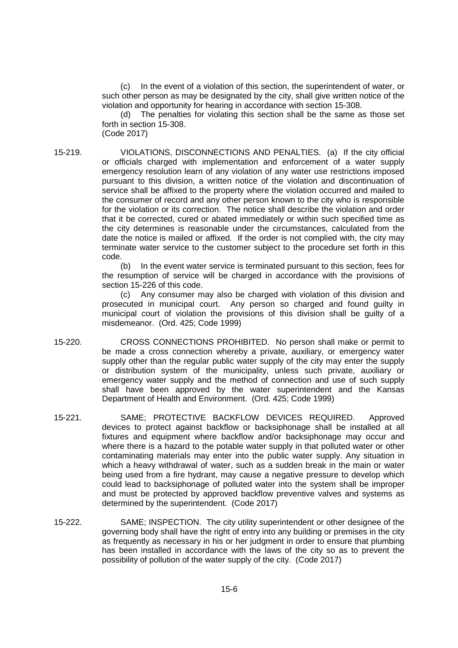(c) In the event of a violation of this section, the superintendent of water, or such other person as may be designated by the city, shall give written notice of the violation and opportunity for hearing in accordance with section 15-308.

(d) The penalties for violating this section shall be the same as those set forth in section 15-308. (Code 2017)

15-219. VIOLATIONS, DISCONNECTIONS AND PENALTIES. (a) If the city official or officials charged with implementation and enforcement of a water supply emergency resolution learn of any violation of any water use restrictions imposed pursuant to this division, a written notice of the violation and discontinuation of service shall be affixed to the property where the violation occurred and mailed to the consumer of record and any other person known to the city who is responsible for the violation or its correction. The notice shall describe the violation and order that it be corrected, cured or abated immediately or within such specified time as the city determines is reasonable under the circumstances, calculated from the date the notice is mailed or affixed. If the order is not complied with, the city may terminate water service to the customer subject to the procedure set forth in this code.

> (b) In the event water service is terminated pursuant to this section, fees for the resumption of service will be charged in accordance with the provisions of section 15-226 of this code.

> (c) Any consumer may also be charged with violation of this division and prosecuted in municipal court. Any person so charged and found guilty in municipal court of violation the provisions of this division shall be guilty of a misdemeanor. (Ord. 425; Code 1999)

- 15-220. CROSS CONNECTIONS PROHIBITED. No person shall make or permit to be made a cross connection whereby a private, auxiliary, or emergency water supply other than the regular public water supply of the city may enter the supply or distribution system of the municipality, unless such private, auxiliary or emergency water supply and the method of connection and use of such supply shall have been approved by the water superintendent and the Kansas Department of Health and Environment. (Ord. 425; Code 1999)
- 15-221. SAME; PROTECTIVE BACKFLOW DEVICES REQUIRED. Approved devices to protect against backflow or backsiphonage shall be installed at all fixtures and equipment where backflow and/or backsiphonage may occur and where there is a hazard to the potable water supply in that polluted water or other contaminating materials may enter into the public water supply. Any situation in which a heavy withdrawal of water, such as a sudden break in the main or water being used from a fire hydrant, may cause a negative pressure to develop which could lead to backsiphonage of polluted water into the system shall be improper and must be protected by approved backflow preventive valves and systems as determined by the superintendent. (Code 2017)
- 15-222. SAME; INSPECTION. The city utility superintendent or other designee of the governing body shall have the right of entry into any building or premises in the city as frequently as necessary in his or her judgment in order to ensure that plumbing has been installed in accordance with the laws of the city so as to prevent the possibility of pollution of the water supply of the city. (Code 2017)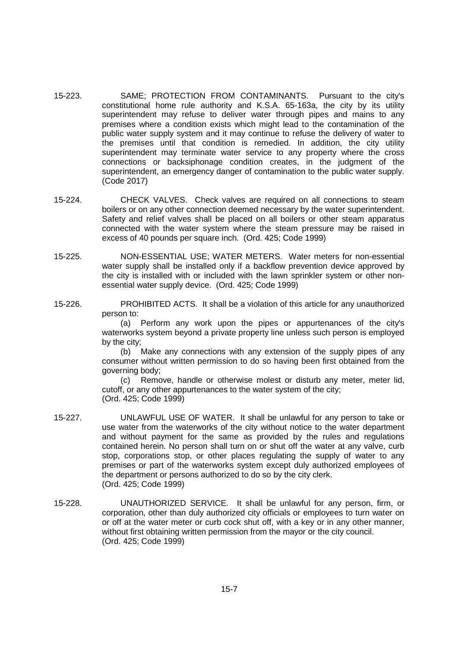- 15-223. SAME; PROTECTION FROM CONTAMINANTS. Pursuant to the city's constitutional home rule authority and K.S.A. 65-163a, the city by its utility superintendent may refuse to deliver water through pipes and mains to any premises where a condition exists which might lead to the contamination of the public water supply system and it may continue to refuse the delivery of water to the premises until that condition is remedied. In addition, the city utility superintendent may terminate water service to any property where the cross connections or backsiphonage condition creates, in the judgment of the superintendent, an emergency danger of contamination to the public water supply. (Code 2017)
- 15-224. CHECK VALVES. Check valves are required on all connections to steam boilers or on any other connection deemed necessary by the water superintendent. Safety and relief valves shall be placed on all boilers or other steam apparatus connected with the water system where the steam pressure may be raised in excess of 40 pounds per square inch. (Ord. 425; Code 1999)
- 15-225. NON-ESSENTIAL USE; WATER METERS. Water meters for non-essential water supply shall be installed only if a backflow prevention device approved by the city is installed with or included with the lawn sprinkler system or other nonessential water supply device. (Ord. 425; Code 1999)
- 15-226. PROHIBITED ACTS. It shall be a violation of this article for any unauthorized person to:

(a) Perform any work upon the pipes or appurtenances of the city's waterworks system beyond a private property line unless such person is employed by the city;

(b) Make any connections with any extension of the supply pipes of any consumer without written permission to do so having been first obtained from the governing body;

(c) Remove, handle or otherwise molest or disturb any meter, meter lid, cutoff, or any other appurtenances to the water system of the city; (Ord. 425; Code 1999)

- 15-227. UNLAWFUL USE OF WATER. It shall be unlawful for any person to take or use water from the waterworks of the city without notice to the water department and without payment for the same as provided by the rules and regulations contained herein. No person shall turn on or shut off the water at any valve, curb stop, corporations stop, or other places regulating the supply of water to any premises or part of the waterworks system except duly authorized employees of the department or persons authorized to do so by the city clerk. (Ord. 425; Code 1999)
- 15-228. UNAUTHORIZED SERVICE. It shall be unlawful for any person, firm, or corporation, other than duly authorized city officials or employees to turn water on or off at the water meter or curb cock shut off, with a key or in any other manner, without first obtaining written permission from the mayor or the city council. (Ord. 425; Code 1999)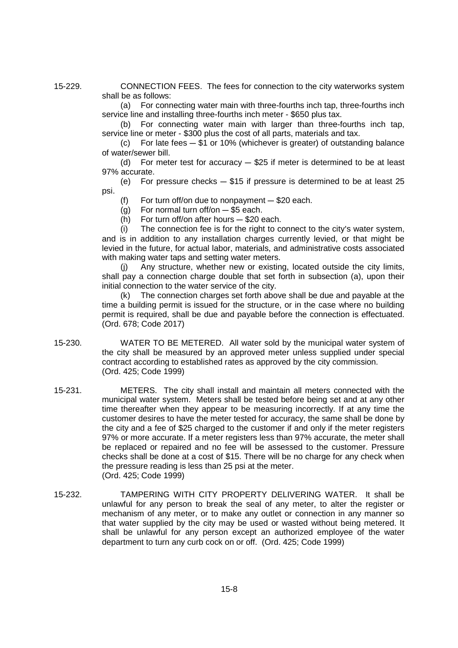15-229. CONNECTION FEES. The fees for connection to the city waterworks system shall be as follows:

> (a) For connecting water main with three-fourths inch tap, three-fourths inch service line and installing three-fourths inch meter - \$650 plus tax.

> (b) For connecting water main with larger than three-fourths inch tap, service line or meter - \$300 plus the cost of all parts, materials and tax.

> (c) For late fees  $-$  \$1 or 10% (whichever is greater) of outstanding balance of water/sewer bill.

> (d) For meter test for accuracy  $-$  \$25 if meter is determined to be at least 97% accurate.

> (e) For pressure checks  $-$  \$15 if pressure is determined to be at least 25 psi.

(f) For turn of f/on due to nonpayment  $-$  \$20 each.

- (g) For normal turn of  $f$ /on  $-$  \$5 each.
- (h) For turn of f/on after hours  $-$  \$20 each.

 $(i)$  The connection fee is for the right to connect to the city's water system, and is in addition to any installation charges currently levied, or that might be levied in the future, for actual labor, materials, and administrative costs associated with making water taps and setting water meters.

(j) Any structure, whether new or existing, located outside the city limits, shall pay a connection charge double that set forth in subsection (a), upon their initial connection to the water service of the city.

(k) The connection charges set forth above shall be due and payable at the time a building permit is issued for the structure, or in the case where no building permit is required, shall be due and payable before the connection is effectuated. (Ord. 678; Code 2017)

- 15-230. WATER TO BE METERED. All water sold by the municipal water system of the city shall be measured by an approved meter unless supplied under special contract according to established rates as approved by the city commission. (Ord. 425; Code 1999)
- 15-231. METERS. The city shall install and maintain all meters connected with the municipal water system. Meters shall be tested before being set and at any other time thereafter when they appear to be measuring incorrectly. If at any time the customer desires to have the meter tested for accuracy, the same shall be done by the city and a fee of \$25 charged to the customer if and only if the meter registers 97% or more accurate. If a meter registers less than 97% accurate, the meter shall be replaced or repaired and no fee will be assessed to the customer. Pressure checks shall be done at a cost of \$15. There will be no charge for any check when the pressure reading is less than 25 psi at the meter. (Ord. 425; Code 1999)
- 15-232. TAMPERING WITH CITY PROPERTY DELIVERING WATER. It shall be unlawful for any person to break the seal of any meter, to alter the register or mechanism of any meter, or to make any outlet or connection in any manner so that water supplied by the city may be used or wasted without being metered. It shall be unlawful for any person except an authorized employee of the water department to turn any curb cock on or off. (Ord. 425; Code 1999)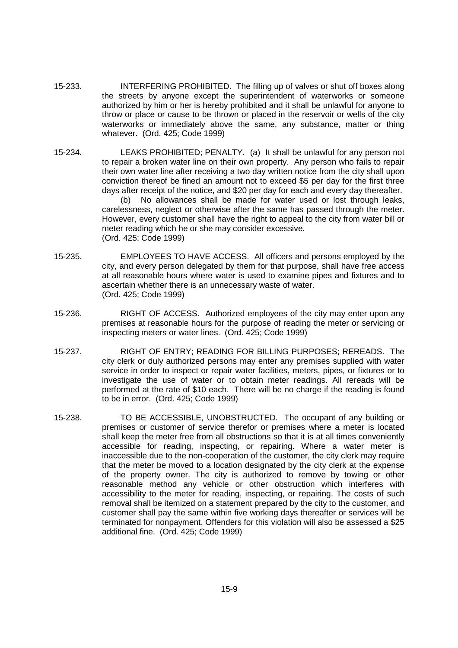- 15-233. INTERFERING PROHIBITED. The filling up of valves or shut off boxes along the streets by anyone except the superintendent of waterworks or someone authorized by him or her is hereby prohibited and it shall be unlawful for anyone to throw or place or cause to be thrown or placed in the reservoir or wells of the city waterworks or immediately above the same, any substance, matter or thing whatever. (Ord. 425; Code 1999)
- 15-234. LEAKS PROHIBITED; PENALTY. (a) It shall be unlawful for any person not to repair a broken water line on their own property. Any person who fails to repair their own water line after receiving a two day written notice from the city shall upon conviction thereof be fined an amount not to exceed \$5 per day for the first three days after receipt of the notice, and \$20 per day for each and every day thereafter.

(b) No allowances shall be made for water used or lost through leaks, carelessness, neglect or otherwise after the same has passed through the meter. However, every customer shall have the right to appeal to the city from water bill or meter reading which he or she may consider excessive. (Ord. 425; Code 1999)

- 15-235. EMPLOYEES TO HAVE ACCESS. All officers and persons employed by the city, and every person delegated by them for that purpose, shall have free access at all reasonable hours where water is used to examine pipes and fixtures and to ascertain whether there is an unnecessary waste of water. (Ord. 425; Code 1999)
- 15-236. RIGHT OF ACCESS. Authorized employees of the city may enter upon any premises at reasonable hours for the purpose of reading the meter or servicing or inspecting meters or water lines. (Ord. 425; Code 1999)
- 15-237. RIGHT OF ENTRY; READING FOR BILLING PURPOSES; REREADS. The city clerk or duly authorized persons may enter any premises supplied with water service in order to inspect or repair water facilities, meters, pipes, or fixtures or to investigate the use of water or to obtain meter readings. All rereads will be performed at the rate of \$10 each. There will be no charge if the reading is found to be in error. (Ord. 425; Code 1999)
- 15-238. TO BE ACCESSIBLE, UNOBSTRUCTED. The occupant of any building or premises or customer of service therefor or premises where a meter is located shall keep the meter free from all obstructions so that it is at all times conveniently accessible for reading, inspecting, or repairing. Where a water meter is inaccessible due to the non-cooperation of the customer, the city clerk may require that the meter be moved to a location designated by the city clerk at the expense of the property owner. The city is authorized to remove by towing or other reasonable method any vehicle or other obstruction which interferes with accessibility to the meter for reading, inspecting, or repairing. The costs of such removal shall be itemized on a statement prepared by the city to the customer, and customer shall pay the same within five working days thereafter or services will be terminated for nonpayment. Offenders for this violation will also be assessed a \$25 additional fine. (Ord. 425; Code 1999)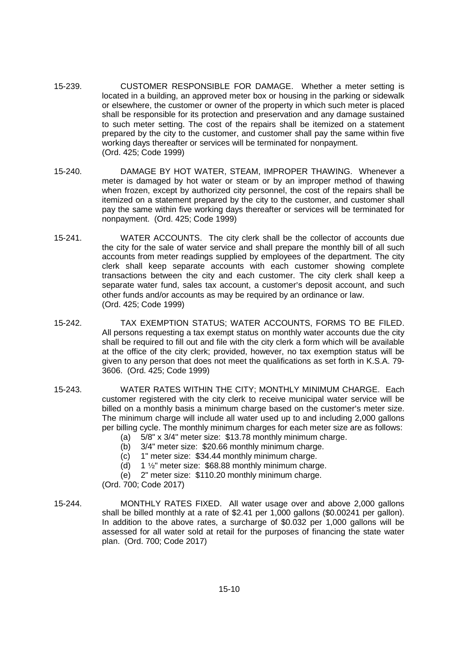- 15-239. CUSTOMER RESPONSIBLE FOR DAMAGE. Whether a meter setting is located in a building, an approved meter box or housing in the parking or sidewalk or elsewhere, the customer or owner of the property in which such meter is placed shall be responsible for its protection and preservation and any damage sustained to such meter setting. The cost of the repairs shall be itemized on a statement prepared by the city to the customer, and customer shall pay the same within five working days thereafter or services will be terminated for nonpayment. (Ord. 425; Code 1999)
- 15-240. DAMAGE BY HOT WATER, STEAM, IMPROPER THAWING. Whenever a meter is damaged by hot water or steam or by an improper method of thawing when frozen, except by authorized city personnel, the cost of the repairs shall be itemized on a statement prepared by the city to the customer, and customer shall pay the same within five working days thereafter or services will be terminated for nonpayment. (Ord. 425; Code 1999)
- 15-241. WATER ACCOUNTS. The city clerk shall be the collector of accounts due the city for the sale of water service and shall prepare the monthly bill of all such accounts from meter readings supplied by employees of the department. The city clerk shall keep separate accounts with each customer showing complete transactions between the city and each customer. The city clerk shall keep a separate water fund, sales tax account, a customer's deposit account, and such other funds and/or accounts as may be required by an ordinance or law. (Ord. 425; Code 1999)
- 15-242. TAX EXEMPTION STATUS; WATER ACCOUNTS, FORMS TO BE FILED. All persons requesting a tax exempt status on monthly water accounts due the city shall be required to fill out and file with the city clerk a form which will be available at the office of the city clerk; provided, however, no tax exemption status will be given to any person that does not meet the qualifications as set forth in K.S.A. 79- 3606. (Ord. 425; Code 1999)
- 15-243. WATER RATES WITHIN THE CITY; MONTHLY MINIMUM CHARGE. Each customer registered with the city clerk to receive municipal water service will be billed on a monthly basis a minimum charge based on the customer's meter size. The minimum charge will include all water used up to and including 2,000 gallons per billing cycle. The monthly minimum charges for each meter size are as follows:
	- (a)  $5/8$ " x 3/4" meter size: \$13.78 monthly minimum charge.
	- (b) 3/4" meter size: \$20.66 monthly minimum charge.
	- (c) 1" meter size: \$34.44 monthly minimum charge.
	- (d) 1  $\frac{1}{2}$ " meter size: \$68.88 monthly minimum charge.
	- (e) 2" meter size: \$110.20 monthly minimum charge.

(Ord. 700; Code 2017)

15-244. MONTHLY RATES FIXED. All water usage over and above 2,000 gallons shall be billed monthly at a rate of \$2.41 per 1,000 gallons (\$0.00241 per gallon). In addition to the above rates, a surcharge of \$0.032 per 1,000 gallons will be assessed for all water sold at retail for the purposes of financing the state water plan. (Ord. 700; Code 2017)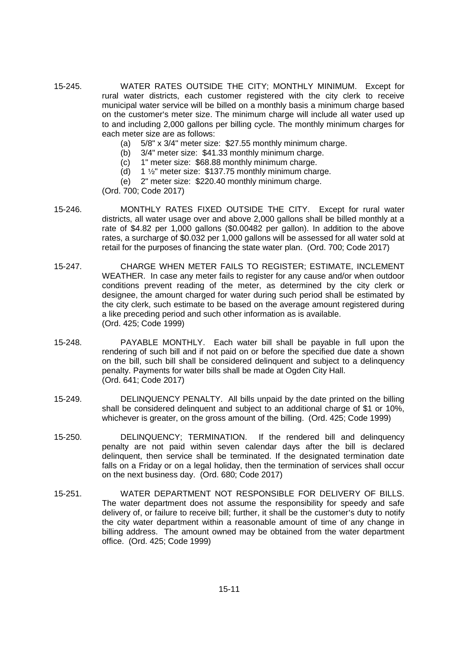- 15-245. WATER RATES OUTSIDE THE CITY; MONTHLY MINIMUM. Except for rural water districts, each customer registered with the city clerk to receive municipal water service will be billed on a monthly basis a minimum charge based on the customer's meter size. The minimum charge will include all water used up to and including 2,000 gallons per billing cycle. The monthly minimum charges for each meter size are as follows:
	- (a) 5/8" x 3/4" meter size: \$27.55 monthly minimum charge.
	- (b) 3/4" meter size: \$41.33 monthly minimum charge.
	- (c) 1" meter size: \$68.88 monthly minimum charge.
	- (d) 1  $\frac{1}{2}$ " meter size: \$137.75 monthly minimum charge.
	- (e) 2" meter size: \$220.40 monthly minimum charge.

(Ord. 700; Code 2017)

- 15-246. MONTHLY RATES FIXED OUTSIDE THE CITY. Except for rural water districts, all water usage over and above 2,000 gallons shall be billed monthly at a rate of \$4.82 per 1,000 gallons (\$0.00482 per gallon). In addition to the above rates, a surcharge of \$0.032 per 1,000 gallons will be assessed for all water sold at retail for the purposes of financing the state water plan. (Ord. 700; Code 2017)
- 15-247. CHARGE WHEN METER FAILS TO REGISTER; ESTIMATE, INCLEMENT WEATHER. In case any meter fails to register for any cause and/or when outdoor conditions prevent reading of the meter, as determined by the city clerk or designee, the amount charged for water during such period shall be estimated by the city clerk, such estimate to be based on the average amount registered during a like preceding period and such other information as is available. (Ord. 425; Code 1999)
- 15-248. PAYABLE MONTHLY. Each water bill shall be payable in full upon the rendering of such bill and if not paid on or before the specified due date a shown on the bill, such bill shall be considered delinquent and subject to a delinquency penalty. Payments for water bills shall be made at Ogden City Hall. (Ord. 641; Code 2017)
- 15-249. DELINQUENCY PENALTY. All bills unpaid by the date printed on the billing shall be considered delinquent and subject to an additional charge of \$1 or 10%, whichever is greater, on the gross amount of the billing. (Ord. 425; Code 1999)
- 15-250. DELINQUENCY; TERMINATION. If the rendered bill and delinquency penalty are not paid within seven calendar days after the bill is declared delinquent, then service shall be terminated. If the designated termination date falls on a Friday or on a legal holiday, then the termination of services shall occur on the next business day. (Ord. 680; Code 2017)
- 15-251. WATER DEPARTMENT NOT RESPONSIBLE FOR DELIVERY OF BILLS. The water department does not assume the responsibility for speedy and safe delivery of, or failure to receive bill; further, it shall be the customer's duty to notify the city water department within a reasonable amount of time of any change in billing address. The amount owned may be obtained from the water department office. (Ord. 425; Code 1999)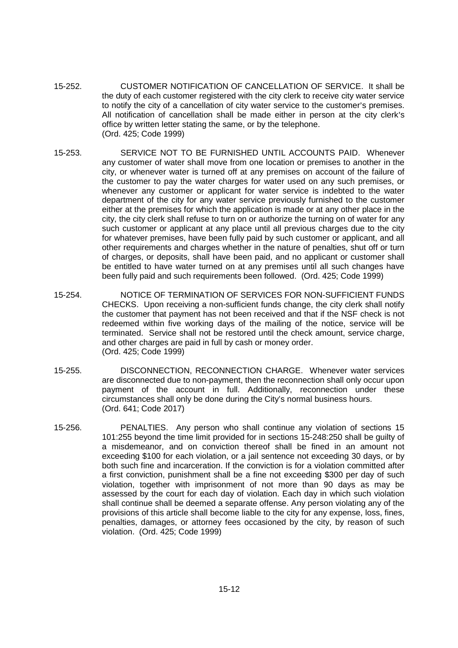- 15-252. CUSTOMER NOTIFICATION OF CANCELLATION OF SERVICE. It shall be the duty of each customer registered with the city clerk to receive city water service to notify the city of a cancellation of city water service to the customer's premises. All notification of cancellation shall be made either in person at the city clerk's office by written letter stating the same, or by the telephone. (Ord. 425; Code 1999)
- 15-253. SERVICE NOT TO BE FURNISHED UNTIL ACCOUNTS PAID. Whenever any customer of water shall move from one location or premises to another in the city, or whenever water is turned off at any premises on account of the failure of the customer to pay the water charges for water used on any such premises, or whenever any customer or applicant for water service is indebted to the water department of the city for any water service previously furnished to the customer either at the premises for which the application is made or at any other place in the city, the city clerk shall refuse to turn on or authorize the turning on of water for any such customer or applicant at any place until all previous charges due to the city for whatever premises, have been fully paid by such customer or applicant, and all other requirements and charges whether in the nature of penalties, shut off or turn of charges, or deposits, shall have been paid, and no applicant or customer shall be entitled to have water turned on at any premises until all such changes have been fully paid and such requirements been followed. (Ord. 425; Code 1999)
- 15-254. NOTICE OF TERMINATION OF SERVICES FOR NON-SUFFICIENT FUNDS CHECKS. Upon receiving a non-sufficient funds change, the city clerk shall notify the customer that payment has not been received and that if the NSF check is not redeemed within five working days of the mailing of the notice, service will be terminated. Service shall not be restored until the check amount, service charge, and other charges are paid in full by cash or money order. (Ord. 425; Code 1999)
- 15-255. DISCONNECTION, RECONNECTION CHARGE. Whenever water services are disconnected due to non-payment, then the reconnection shall only occur upon payment of the account in full. Additionally, reconnection under these circumstances shall only be done during the City's normal business hours. (Ord. 641; Code 2017)
- 15-256. PENALTIES. Any person who shall continue any violation of sections 15 101:255 beyond the time limit provided for in sections 15-248:250 shall be guilty of a misdemeanor, and on conviction thereof shall be fined in an amount not exceeding \$100 for each violation, or a jail sentence not exceeding 30 days, or by both such fine and incarceration. If the conviction is for a violation committed after a first conviction, punishment shall be a fine not exceeding \$300 per day of such violation, together with imprisonment of not more than 90 days as may be assessed by the court for each day of violation. Each day in which such violation shall continue shall be deemed a separate offense. Any person violating any of the provisions of this article shall become liable to the city for any expense, loss, fines, penalties, damages, or attorney fees occasioned by the city, by reason of such violation. (Ord. 425; Code 1999)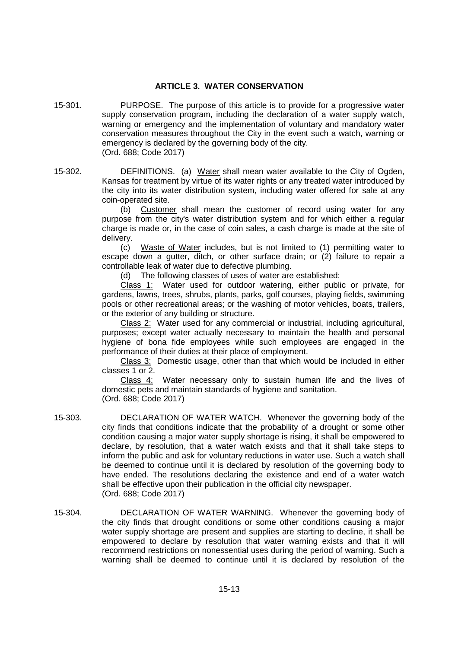### **ARTICLE 3. WATER CONSERVATION**

15-301. PURPOSE. The purpose of this article is to provide for a progressive water supply conservation program, including the declaration of a water supply watch, warning or emergency and the implementation of voluntary and mandatory water conservation measures throughout the City in the event such a watch, warning or emergency is declared by the governing body of the city. (Ord. 688; Code 2017)

15-302. DEFINITIONS. (a) Water shall mean water available to the City of Ogden, Kansas for treatment by virtue of its water rights or any treated water introduced by the city into its water distribution system, including water offered for sale at any coin-operated site.

> (b) Customer shall mean the customer of record using water for any purpose from the city's water distribution system and for which either a regular charge is made or, in the case of coin sales, a cash charge is made at the site of delivery.

> (c) Waste of Water includes, but is not limited to (1) permitting water to escape down a gutter, ditch, or other surface drain; or (2) failure to repair a controllable leak of water due to defective plumbing.

(d) The following classes of uses of water are established:

Class 1: Water used for outdoor watering, either public or private, for gardens, lawns, trees, shrubs, plants, parks, golf courses, playing fields, swimming pools or other recreational areas; or the washing of motor vehicles, boats, trailers, or the exterior of any building or structure.

Class 2: Water used for any commercial or industrial, including agricultural, purposes; except water actually necessary to maintain the health and personal hygiene of bona fide employees while such employees are engaged in the performance of their duties at their place of employment.

Class 3: Domestic usage, other than that which would be included in either classes 1 or 2.

Class 4: Water necessary only to sustain human life and the lives of domestic pets and maintain standards of hygiene and sanitation. (Ord. 688; Code 2017)

15-303. DECLARATION OF WATER WATCH. Whenever the governing body of the city finds that conditions indicate that the probability of a drought or some other condition causing a major water supply shortage is rising, it shall be empowered to declare, by resolution, that a water watch exists and that it shall take steps to inform the public and ask for voluntary reductions in water use. Such a watch shall be deemed to continue until it is declared by resolution of the governing body to have ended. The resolutions declaring the existence and end of a water watch shall be effective upon their publication in the official city newspaper. (Ord. 688; Code 2017)

15-304. DECLARATION OF WATER WARNING. Whenever the governing body of the city finds that drought conditions or some other conditions causing a major water supply shortage are present and supplies are starting to decline, it shall be empowered to declare by resolution that water warning exists and that it will recommend restrictions on nonessential uses during the period of warning. Such a warning shall be deemed to continue until it is declared by resolution of the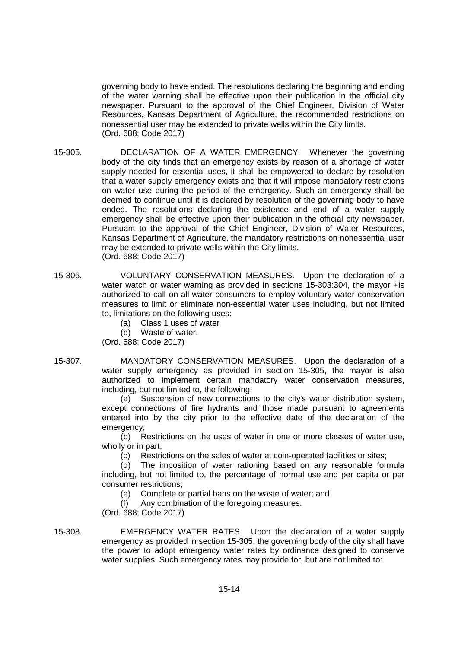governing body to have ended. The resolutions declaring the beginning and ending of the water warning shall be effective upon their publication in the official city newspaper. Pursuant to the approval of the Chief Engineer, Division of Water Resources, Kansas Department of Agriculture, the recommended restrictions on nonessential user may be extended to private wells within the City limits. (Ord. 688; Code 2017)

- 15-305. DECLARATION OF A WATER EMERGENCY. Whenever the governing body of the city finds that an emergency exists by reason of a shortage of water supply needed for essential uses, it shall be empowered to declare by resolution that a water supply emergency exists and that it will impose mandatory restrictions on water use during the period of the emergency. Such an emergency shall be deemed to continue until it is declared by resolution of the governing body to have ended. The resolutions declaring the existence and end of a water supply emergency shall be effective upon their publication in the official city newspaper. Pursuant to the approval of the Chief Engineer, Division of Water Resources, Kansas Department of Agriculture, the mandatory restrictions on nonessential user may be extended to private wells within the City limits. (Ord. 688; Code 2017)
- 15-306. VOLUNTARY CONSERVATION MEASURES. Upon the declaration of a water watch or water warning as provided in sections 15-303:304, the mayor +is authorized to call on all water consumers to employ voluntary water conservation measures to limit or eliminate non-essential water uses including, but not limited to, limitations on the following uses:
	- (a) Class 1 uses of water
	- (b) Waste of water.

(Ord. 688; Code 2017)

15-307. MANDATORY CONSERVATION MEASURES. Upon the declaration of a water supply emergency as provided in section 15-305, the mayor is also authorized to implement certain mandatory water conservation measures, including, but not limited to, the following:

> (a) Suspension of new connections to the city's water distribution system, except connections of fire hydrants and those made pursuant to agreements entered into by the city prior to the effective date of the declaration of the emergency:

> (b) Restrictions on the uses of water in one or more classes of water use, wholly or in part;

(c) Restrictions on the sales of water at coin-operated facilities or sites;

(d) The imposition of water rationing based on any reasonable formula including, but not limited to, the percentage of normal use and per capita or per consumer restrictions;

(e) Complete or partial bans on the waste of water; and

(f) Any combination of the foregoing measures.

(Ord. 688; Code 2017)

15-308. EMERGENCY WATER RATES. Upon the declaration of a water supply emergency as provided in section 15-305, the governing body of the city shall have the power to adopt emergency water rates by ordinance designed to conserve water supplies. Such emergency rates may provide for, but are not limited to: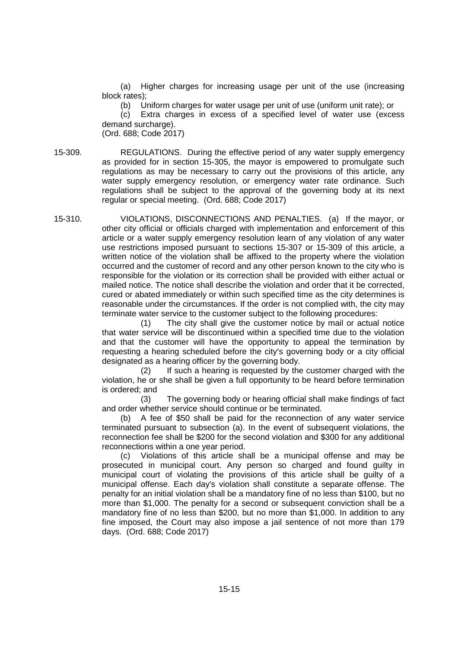(a) Higher charges for increasing usage per unit of the use (increasing block rates);

(b) Uniform charges for water usage per unit of use (uniform unit rate); or

(c) Extra charges in excess of a specified level of water use (excess demand surcharge).

(Ord. 688; Code 2017)

15-309. REGULATIONS. During the effective period of any water supply emergency as provided for in section 15-305, the mayor is empowered to promulgate such regulations as may be necessary to carry out the provisions of this article, any water supply emergency resolution, or emergency water rate ordinance. Such regulations shall be subject to the approval of the governing body at its next regular or special meeting. (Ord. 688; Code 2017)

15-310. VIOLATIONS, DISCONNECTIONS AND PENALTIES. (a) If the mayor, or other city official or officials charged with implementation and enforcement of this article or a water supply emergency resolution learn of any violation of any water use restrictions imposed pursuant to sections 15-307 or 15-309 of this article, a written notice of the violation shall be affixed to the property where the violation occurred and the customer of record and any other person known to the city who is responsible for the violation or its correction shall be provided with either actual or mailed notice. The notice shall describe the violation and order that it be corrected, cured or abated immediately or within such specified time as the city determines is reasonable under the circumstances. If the order is not complied with, the city may terminate water service to the customer subject to the following procedures:

(1) The city shall give the customer notice by mail or actual notice that water service will be discontinued within a specified time due to the violation and that the customer will have the opportunity to appeal the termination by requesting a hearing scheduled before the city's governing body or a city official designated as a hearing officer by the governing body.

(2) If such a hearing is requested by the customer charged with the violation, he or she shall be given a full opportunity to be heard before termination is ordered; and

(3) The governing body or hearing official shall make findings of fact and order whether service should continue or be terminated.

(b) A fee of \$50 shall be paid for the reconnection of any water service terminated pursuant to subsection (a). In the event of subsequent violations, the reconnection fee shall be \$200 for the second violation and \$300 for any additional reconnections within a one year period.

(c) Violations of this article shall be a municipal offense and may be prosecuted in municipal court. Any person so charged and found guilty in municipal court of violating the provisions of this article shall be guilty of a municipal offense. Each day's violation shall constitute a separate offense. The penalty for an initial violation shall be a mandatory fine of no less than \$100, but no more than \$1,000. The penalty for a second or subsequent conviction shall be a mandatory fine of no less than \$200, but no more than \$1,000. In addition to any fine imposed, the Court may also impose a jail sentence of not more than 179 days. (Ord. 688; Code 2017)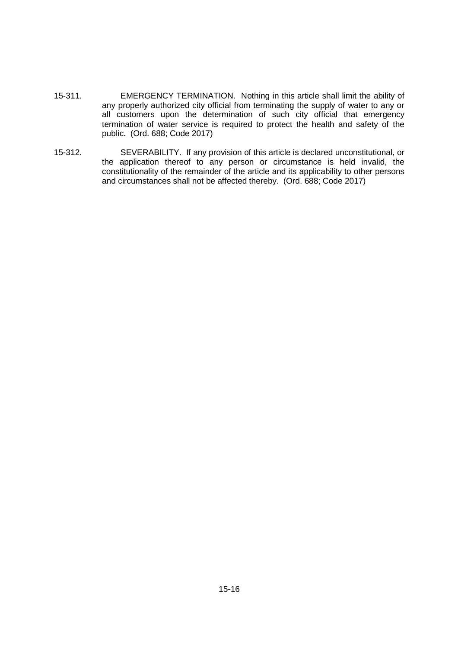- 15-311. EMERGENCY TERMINATION. Nothing in this article shall limit the ability of any properly authorized city official from terminating the supply of water to any or all customers upon the determination of such city official that emergency termination of water service is required to protect the health and safety of the public. (Ord. 688; Code 2017)
- 15-312. SEVERABILITY. If any provision of this article is declared unconstitutional, or the application thereof to any person or circumstance is held invalid, the constitutionality of the remainder of the article and its applicability to other persons and circumstances shall not be affected thereby. (Ord. 688; Code 2017)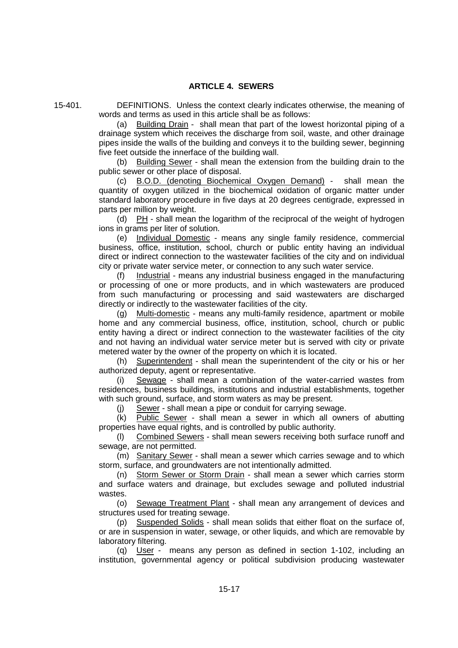15-401. DEFINITIONS. Unless the context clearly indicates otherwise, the meaning of words and terms as used in this article shall be as follows:

> (a) Building Drain - shall mean that part of the lowest horizontal piping of a drainage system which receives the discharge from soil, waste, and other drainage pipes inside the walls of the building and conveys it to the building sewer, beginning five feet outside the innerface of the building wall.

> (b) Building Sewer - shall mean the extension from the building drain to the public sewer or other place of disposal.

> (c) B.O.D. (denoting Biochemical Oxygen Demand) - shall mean the quantity of oxygen utilized in the biochemical oxidation of organic matter under standard laboratory procedure in five days at 20 degrees centigrade, expressed in parts per million by weight.

> (d) PH - shall mean the logarithm of the reciprocal of the weight of hydrogen ions in grams per liter of solution.

> (e) Individual Domestic - means any single family residence, commercial business, office, institution, school, church or public entity having an individual direct or indirect connection to the wastewater facilities of the city and on individual city or private water service meter, or connection to any such water service.

> (f) Industrial - means any industrial business engaged in the manufacturing or processing of one or more products, and in which wastewaters are produced from such manufacturing or processing and said wastewaters are discharged directly or indirectly to the wastewater facilities of the city.

> (g) Multi-domestic - means any multi-family residence, apartment or mobile home and any commercial business, office, institution, school, church or public entity having a direct or indirect connection to the wastewater facilities of the city and not having an individual water service meter but is served with city or private metered water by the owner of the property on which it is located.

> (h) Superintendent - shall mean the superintendent of the city or his or her authorized deputy, agent or representative.

> (i) Sewage - shall mean a combination of the water-carried wastes from residences, business buildings, institutions and industrial establishments, together with such ground, surface, and storm waters as may be present.

(j) Sewer - shall mean a pipe or conduit for carrying sewage.

(k) Public Sewer - shall mean a sewer in which all owners of abutting properties have equal rights, and is controlled by public authority.

(l) Combined Sewers - shall mean sewers receiving both surface runoff and sewage, are not permitted.

(m) Sanitary Sewer - shall mean a sewer which carries sewage and to which storm, surface, and groundwaters are not intentionally admitted.

(n) Storm Sewer or Storm Drain - shall mean a sewer which carries storm and surface waters and drainage, but excludes sewage and polluted industrial wastes.

(o) Sewage Treatment Plant - shall mean any arrangement of devices and structures used for treating sewage.

(p) Suspended Solids - shall mean solids that either float on the surface of, or are in suspension in water, sewage, or other liquids, and which are removable by laboratory filtering.

(q) User - means any person as defined in section 1-102, including an institution, governmental agency or political subdivision producing wastewater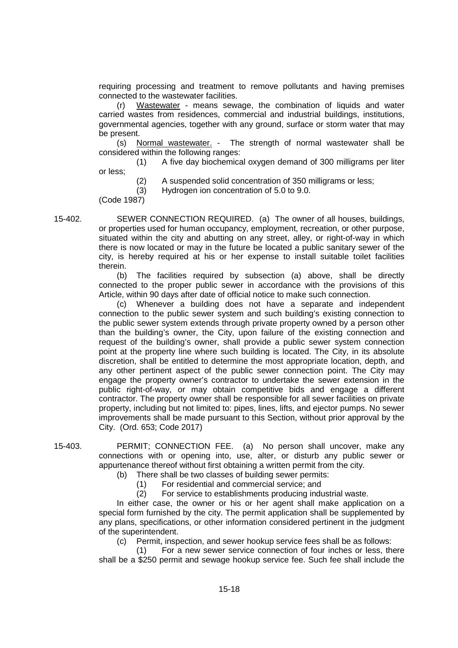requiring processing and treatment to remove pollutants and having premises connected to the wastewater facilities.

(r) Wastewater - means sewage, the combination of liquids and water carried wastes from residences, commercial and industrial buildings, institutions, governmental agencies, together with any ground, surface or storm water that may be present.

(s) Normal wastewater. - The strength of normal wastewater shall be considered within the following ranges:

(1) A five day biochemical oxygen demand of 300 milligrams per liter or less;

(2) A suspended solid concentration of 350 milligrams or less;

(3) Hydrogen ion concentration of 5.0 to 9.0.

(Code 1987)

15-402. SEWER CONNECTION REQUIRED. (a) The owner of all houses, buildings, or properties used for human occupancy, employment, recreation, or other purpose, situated within the city and abutting on any street, alley, or right-of-way in which there is now located or may in the future be located a public sanitary sewer of the city, is hereby required at his or her expense to install suitable toilet facilities therein.

> (b) The facilities required by subsection (a) above, shall be directly connected to the proper public sewer in accordance with the provisions of this Article, within 90 days after date of official notice to make such connection.

> (c) Whenever a building does not have a separate and independent connection to the public sewer system and such building's existing connection to the public sewer system extends through private property owned by a person other than the building's owner, the City, upon failure of the existing connection and request of the building's owner, shall provide a public sewer system connection point at the property line where such building is located. The City, in its absolute discretion, shall be entitled to determine the most appropriate location, depth, and any other pertinent aspect of the public sewer connection point. The City may engage the property owner's contractor to undertake the sewer extension in the public right-of-way, or may obtain competitive bids and engage a different contractor. The property owner shall be responsible for all sewer facilities on private property, including but not limited to: pipes, lines, lifts, and ejector pumps. No sewer improvements shall be made pursuant to this Section, without prior approval by the City. (Ord. 653; Code 2017)

15-403. PERMIT; CONNECTION FEE. (a) No person shall uncover, make any connections with or opening into, use, alter, or disturb any public sewer or appurtenance thereof without first obtaining a written permit from the city.

(b) There shall be two classes of building sewer permits:

(1) For residential and commercial service; and

(2) For service to establishments producing industrial waste.

In either case, the owner or his or her agent shall make application on a special form furnished by the city. The permit application shall be supplemented by any plans, specifications, or other information considered pertinent in the judgment of the superintendent.

(c) Permit, inspection, and sewer hookup service fees shall be as follows:

(1) For a new sewer service connection of four inches or less, there shall be a \$250 permit and sewage hookup service fee. Such fee shall include the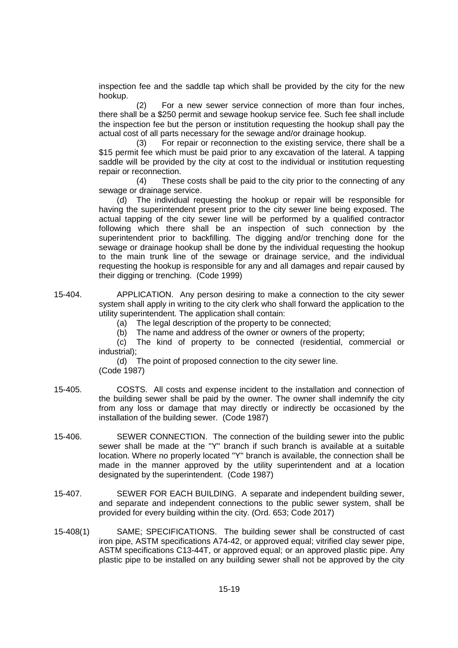inspection fee and the saddle tap which shall be provided by the city for the new hookup.

(2) For a new sewer service connection of more than four inches, there shall be a \$250 permit and sewage hookup service fee. Such fee shall include the inspection fee but the person or institution requesting the hookup shall pay the actual cost of all parts necessary for the sewage and/or drainage hookup.

(3) For repair or reconnection to the existing service, there shall be a \$15 permit fee which must be paid prior to any excavation of the lateral. A tapping saddle will be provided by the city at cost to the individual or institution requesting repair or reconnection.

(4) These costs shall be paid to the city prior to the connecting of any sewage or drainage service.

(d) The individual requesting the hookup or repair will be responsible for having the superintendent present prior to the city sewer line being exposed. The actual tapping of the city sewer line will be performed by a qualified contractor following which there shall be an inspection of such connection by the superintendent prior to backfilling. The digging and/or trenching done for the sewage or drainage hookup shall be done by the individual requesting the hookup to the main trunk line of the sewage or drainage service, and the individual requesting the hookup is responsible for any and all damages and repair caused by their digging or trenching. (Code 1999)

- 15-404. APPLICATION. Any person desiring to make a connection to the city sewer system shall apply in writing to the city clerk who shall forward the application to the utility superintendent. The application shall contain:
	- (a) The legal description of the property to be connected;
	- (b) The name and address of the owner or owners of the property;

(c) The kind of property to be connected (residential, commercial or industrial);

(d) The point of proposed connection to the city sewer line. (Code 1987)

- 15-405. COSTS. All costs and expense incident to the installation and connection of the building sewer shall be paid by the owner. The owner shall indemnify the city from any loss or damage that may directly or indirectly be occasioned by the installation of the building sewer. (Code 1987)
- 15-406. SEWER CONNECTION. The connection of the building sewer into the public sewer shall be made at the "Y" branch if such branch is available at a suitable location. Where no properly located "Y" branch is available, the connection shall be made in the manner approved by the utility superintendent and at a location designated by the superintendent. (Code 1987)
- 15-407. SEWER FOR EACH BUILDING. A separate and independent building sewer, and separate and independent connections to the public sewer system, shall be provided for every building within the city. (Ord. 653; Code 2017)
- 15-408(1) SAME; SPECIFICATIONS. The building sewer shall be constructed of cast iron pipe, ASTM specifications A74-42, or approved equal; vitrified clay sewer pipe, ASTM specifications C13-44T, or approved equal; or an approved plastic pipe. Any plastic pipe to be installed on any building sewer shall not be approved by the city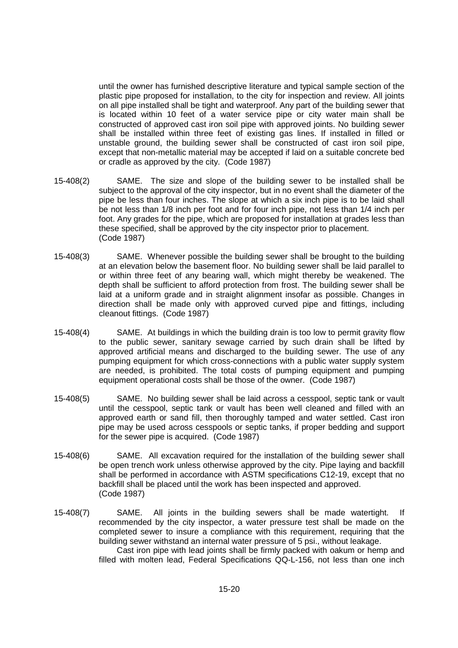until the owner has furnished descriptive literature and typical sample section of the plastic pipe proposed for installation, to the city for inspection and review. All joints on all pipe installed shall be tight and waterproof. Any part of the building sewer that is located within 10 feet of a water service pipe or city water main shall be constructed of approved cast iron soil pipe with approved joints. No building sewer shall be installed within three feet of existing gas lines. If installed in filled or unstable ground, the building sewer shall be constructed of cast iron soil pipe, except that non-metallic material may be accepted if laid on a suitable concrete bed or cradle as approved by the city. (Code 1987)

- 15-408(2) SAME. The size and slope of the building sewer to be installed shall be subject to the approval of the city inspector, but in no event shall the diameter of the pipe be less than four inches. The slope at which a six inch pipe is to be laid shall be not less than 1/8 inch per foot and for four inch pipe, not less than 1/4 inch per foot. Any grades for the pipe, which are proposed for installation at grades less than these specified, shall be approved by the city inspector prior to placement. (Code 1987)
- 15-408(3) SAME. Whenever possible the building sewer shall be brought to the building at an elevation below the basement floor. No building sewer shall be laid parallel to or within three feet of any bearing wall, which might thereby be weakened. The depth shall be sufficient to afford protection from frost. The building sewer shall be laid at a uniform grade and in straight alignment insofar as possible. Changes in direction shall be made only with approved curved pipe and fittings, including cleanout fittings. (Code 1987)
- 15-408(4) SAME. At buildings in which the building drain is too low to permit gravity flow to the public sewer, sanitary sewage carried by such drain shall be lifted by approved artificial means and discharged to the building sewer. The use of any pumping equipment for which cross-connections with a public water supply system are needed, is prohibited. The total costs of pumping equipment and pumping equipment operational costs shall be those of the owner. (Code 1987)
- 15-408(5) SAME. No building sewer shall be laid across a cesspool, septic tank or vault until the cesspool, septic tank or vault has been well cleaned and filled with an approved earth or sand fill, then thoroughly tamped and water settled. Cast iron pipe may be used across cesspools or septic tanks, if proper bedding and support for the sewer pipe is acquired. (Code 1987)
- 15-408(6) SAME. All excavation required for the installation of the building sewer shall be open trench work unless otherwise approved by the city. Pipe laying and backfill shall be performed in accordance with ASTM specifications C12-19, except that no backfill shall be placed until the work has been inspected and approved. (Code 1987)
- 15-408(7) SAME. All joints in the building sewers shall be made watertight. If recommended by the city inspector, a water pressure test shall be made on the completed sewer to insure a compliance with this requirement, requiring that the building sewer withstand an internal water pressure of 5 psi., without leakage.

Cast iron pipe with lead joints shall be firmly packed with oakum or hemp and filled with molten lead, Federal Specifications QQ-L-156, not less than one inch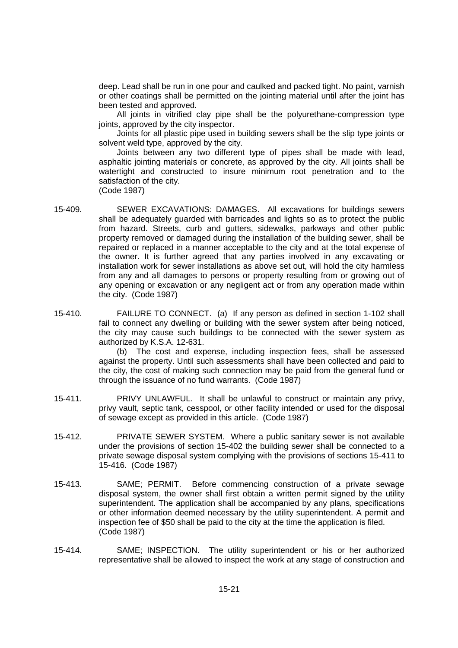deep. Lead shall be run in one pour and caulked and packed tight. No paint, varnish or other coatings shall be permitted on the jointing material until after the joint has been tested and approved.

All joints in vitrified clay pipe shall be the polyurethane-compression type joints, approved by the city inspector.

Joints for all plastic pipe used in building sewers shall be the slip type joints or solvent weld type, approved by the city.

Joints between any two different type of pipes shall be made with lead, asphaltic jointing materials or concrete, as approved by the city. All joints shall be watertight and constructed to insure minimum root penetration and to the satisfaction of the city.

- (Code 1987)
- 15-409. SEWER EXCAVATIONS: DAMAGES. All excavations for buildings sewers shall be adequately guarded with barricades and lights so as to protect the public from hazard. Streets, curb and gutters, sidewalks, parkways and other public property removed or damaged during the installation of the building sewer, shall be repaired or replaced in a manner acceptable to the city and at the total expense of the owner. It is further agreed that any parties involved in any excavating or installation work for sewer installations as above set out, will hold the city harmless from any and all damages to persons or property resulting from or growing out of any opening or excavation or any negligent act or from any operation made within the city. (Code 1987)
- 15-410. FAILURE TO CONNECT. (a) If any person as defined in section 1-102 shall fail to connect any dwelling or building with the sewer system after being noticed, the city may cause such buildings to be connected with the sewer system as authorized by K.S.A. 12-631.

(b) The cost and expense, including inspection fees, shall be assessed against the property. Until such assessments shall have been collected and paid to the city, the cost of making such connection may be paid from the general fund or through the issuance of no fund warrants. (Code 1987)

- 15-411. PRIVY UNLAWFUL. It shall be unlawful to construct or maintain any privy, privy vault, septic tank, cesspool, or other facility intended or used for the disposal of sewage except as provided in this article. (Code 1987)
- 15-412. PRIVATE SEWER SYSTEM. Where a public sanitary sewer is not available under the provisions of section 15-402 the building sewer shall be connected to a private sewage disposal system complying with the provisions of sections 15-411 to 15-416. (Code 1987)
- 15-413. SAME; PERMIT. Before commencing construction of a private sewage disposal system, the owner shall first obtain a written permit signed by the utility superintendent. The application shall be accompanied by any plans, specifications or other information deemed necessary by the utility superintendent. A permit and inspection fee of \$50 shall be paid to the city at the time the application is filed. (Code 1987)
- 15-414. SAME; INSPECTION. The utility superintendent or his or her authorized representative shall be allowed to inspect the work at any stage of construction and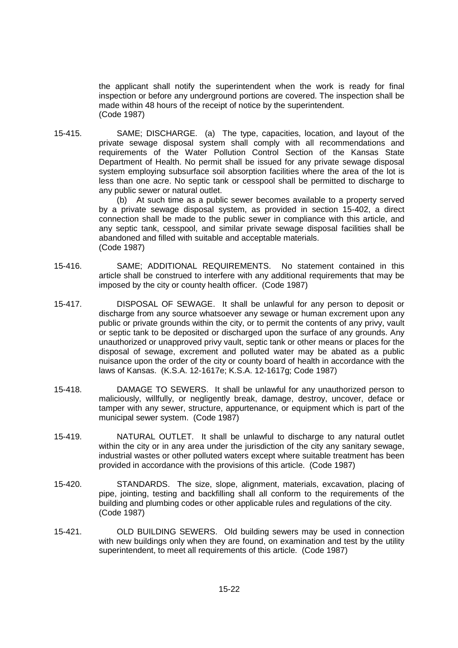the applicant shall notify the superintendent when the work is ready for final inspection or before any underground portions are covered. The inspection shall be made within 48 hours of the receipt of notice by the superintendent. (Code 1987)

15-415. SAME; DISCHARGE. (a) The type, capacities, location, and layout of the private sewage disposal system shall comply with all recommendations and requirements of the Water Pollution Control Section of the Kansas State Department of Health. No permit shall be issued for any private sewage disposal system employing subsurface soil absorption facilities where the area of the lot is less than one acre. No septic tank or cesspool shall be permitted to discharge to any public sewer or natural outlet.

> (b) At such time as a public sewer becomes available to a property served by a private sewage disposal system, as provided in section 15-402, a direct connection shall be made to the public sewer in compliance with this article, and any septic tank, cesspool, and similar private sewage disposal facilities shall be abandoned and filled with suitable and acceptable materials. (Code 1987)

- 15-416. SAME; ADDITIONAL REQUIREMENTS. No statement contained in this article shall be construed to interfere with any additional requirements that may be imposed by the city or county health officer. (Code 1987)
- 15-417. DISPOSAL OF SEWAGE. It shall be unlawful for any person to deposit or discharge from any source whatsoever any sewage or human excrement upon any public or private grounds within the city, or to permit the contents of any privy, vault or septic tank to be deposited or discharged upon the surface of any grounds. Any unauthorized or unapproved privy vault, septic tank or other means or places for the disposal of sewage, excrement and polluted water may be abated as a public nuisance upon the order of the city or county board of health in accordance with the laws of Kansas. (K.S.A. 12-1617e; K.S.A. 12-1617g; Code 1987)
- 15-418. DAMAGE TO SEWERS. It shall be unlawful for any unauthorized person to maliciously, willfully, or negligently break, damage, destroy, uncover, deface or tamper with any sewer, structure, appurtenance, or equipment which is part of the municipal sewer system. (Code 1987)
- 15-419. NATURAL OUTLET. It shall be unlawful to discharge to any natural outlet within the city or in any area under the jurisdiction of the city any sanitary sewage. industrial wastes or other polluted waters except where suitable treatment has been provided in accordance with the provisions of this article. (Code 1987)
- 15-420. STANDARDS. The size, slope, alignment, materials, excavation, placing of pipe, jointing, testing and backfilling shall all conform to the requirements of the building and plumbing codes or other applicable rules and regulations of the city. (Code 1987)
- 15-421. OLD BUILDING SEWERS. Old building sewers may be used in connection with new buildings only when they are found, on examination and test by the utility superintendent, to meet all requirements of this article. (Code 1987)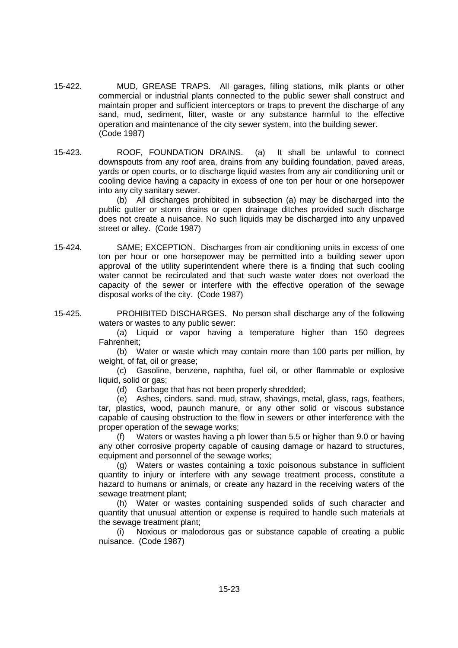- 15-422. MUD, GREASE TRAPS. All garages, filling stations, milk plants or other commercial or industrial plants connected to the public sewer shall construct and maintain proper and sufficient interceptors or traps to prevent the discharge of any sand, mud, sediment, litter, waste or any substance harmful to the effective operation and maintenance of the city sewer system, into the building sewer. (Code 1987)
- 15-423. ROOF, FOUNDATION DRAINS. (a) It shall be unlawful to connect downspouts from any roof area, drains from any building foundation, paved areas, yards or open courts, or to discharge liquid wastes from any air conditioning unit or cooling device having a capacity in excess of one ton per hour or one horsepower into any city sanitary sewer.

(b) All discharges prohibited in subsection (a) may be discharged into the public gutter or storm drains or open drainage ditches provided such discharge does not create a nuisance. No such liquids may be discharged into any unpaved street or alley. (Code 1987)

- 15-424. SAME; EXCEPTION. Discharges from air conditioning units in excess of one ton per hour or one horsepower may be permitted into a building sewer upon approval of the utility superintendent where there is a finding that such cooling water cannot be recirculated and that such waste water does not overload the capacity of the sewer or interfere with the effective operation of the sewage disposal works of the city. (Code 1987)
- 15-425. PROHIBITED DISCHARGES. No person shall discharge any of the following waters or wastes to any public sewer:

(a) Liquid or vapor having a temperature higher than 150 degrees Fahrenheit;

(b) Water or waste which may contain more than 100 parts per million, by weight, of fat, oil or grease;

(c) Gasoline, benzene, naphtha, fuel oil, or other flammable or explosive liquid, solid or gas;

(d) Garbage that has not been properly shredded;

(e) Ashes, cinders, sand, mud, straw, shavings, metal, glass, rags, feathers, tar, plastics, wood, paunch manure, or any other solid or viscous substance capable of causing obstruction to the flow in sewers or other interference with the proper operation of the sewage works;

(f) Waters or wastes having a ph lower than 5.5 or higher than 9.0 or having any other corrosive property capable of causing damage or hazard to structures, equipment and personnel of the sewage works;

(g) Waters or wastes containing a toxic poisonous substance in sufficient quantity to injury or interfere with any sewage treatment process, constitute a hazard to humans or animals, or create any hazard in the receiving waters of the sewage treatment plant;

(h) Water or wastes containing suspended solids of such character and quantity that unusual attention or expense is required to handle such materials at the sewage treatment plant;

(i) Noxious or malodorous gas or substance capable of creating a public nuisance. (Code 1987)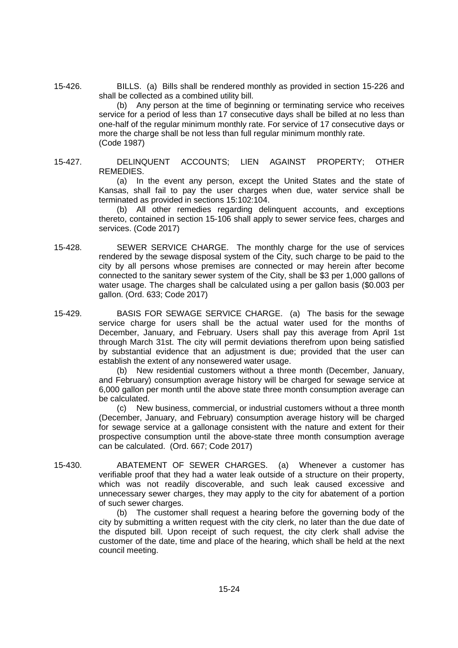15-426. BILLS. (a) Bills shall be rendered monthly as provided in section 15-226 and shall be collected as a combined utility bill.

(b) Any person at the time of beginning or terminating service who receives service for a period of less than 17 consecutive days shall be billed at no less than one-half of the regular minimum monthly rate. For service of 17 consecutive days or more the charge shall be not less than full regular minimum monthly rate. (Code 1987)

15-427. DELINQUENT ACCOUNTS; LIEN AGAINST PROPERTY; OTHER REMEDIES.

> (a) In the event any person, except the United States and the state of Kansas, shall fail to pay the user charges when due, water service shall be terminated as provided in sections 15:102:104.

> (b) All other remedies regarding delinquent accounts, and exceptions thereto, contained in section 15-106 shall apply to sewer service fees, charges and services. (Code 2017)

- 15-428. SEWER SERVICE CHARGE. The monthly charge for the use of services rendered by the sewage disposal system of the City, such charge to be paid to the city by all persons whose premises are connected or may herein after become connected to the sanitary sewer system of the City, shall be \$3 per 1,000 gallons of water usage. The charges shall be calculated using a per gallon basis (\$0.003 per gallon. (Ord. 633; Code 2017)
- 15-429. BASIS FOR SEWAGE SERVICE CHARGE. (a) The basis for the sewage service charge for users shall be the actual water used for the months of December, January, and February. Users shall pay this average from April 1st through March 31st. The city will permit deviations therefrom upon being satisfied by substantial evidence that an adjustment is due; provided that the user can establish the extent of any nonsewered water usage.

(b) New residential customers without a three month (December, January, and February) consumption average history will be charged for sewage service at 6,000 gallon per month until the above state three month consumption average can be calculated.

(c) New business, commercial, or industrial customers without a three month (December, January, and February) consumption average history will be charged for sewage service at a gallonage consistent with the nature and extent for their prospective consumption until the above-state three month consumption average can be calculated. (Ord. 667; Code 2017)

15-430. ABATEMENT OF SEWER CHARGES. (a) Whenever a customer has verifiable proof that they had a water leak outside of a structure on their property, which was not readily discoverable, and such leak caused excessive and unnecessary sewer charges, they may apply to the city for abatement of a portion of such sewer charges.

(b) The customer shall request a hearing before the governing body of the city by submitting a written request with the city clerk, no later than the due date of the disputed bill. Upon receipt of such request, the city clerk shall advise the customer of the date, time and place of the hearing, which shall be held at the next council meeting.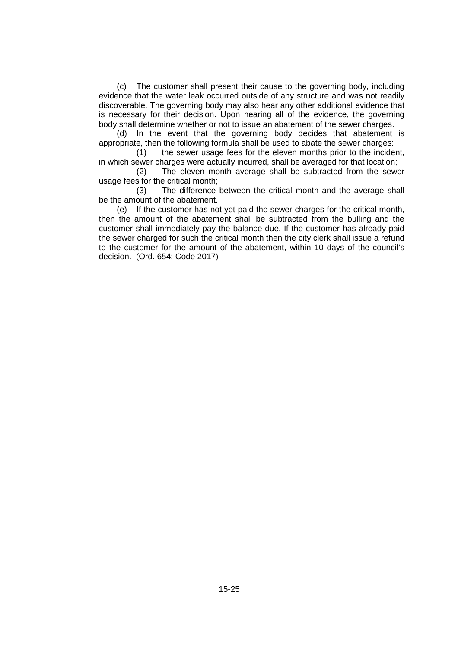(c) The customer shall present their cause to the governing body, including evidence that the water leak occurred outside of any structure and was not readily discoverable. The governing body may also hear any other additional evidence that is necessary for their decision. Upon hearing all of the evidence, the governing body shall determine whether or not to issue an abatement of the sewer charges.

(d) In the event that the governing body decides that abatement is appropriate, then the following formula shall be used to abate the sewer charges:

(1) the sewer usage fees for the eleven months prior to the incident, in which sewer charges were actually incurred, shall be averaged for that location;

(2) The eleven month average shall be subtracted from the sewer usage fees for the critical month;

(3) The difference between the critical month and the average shall be the amount of the abatement.

(e) If the customer has not yet paid the sewer charges for the critical month, then the amount of the abatement shall be subtracted from the bulling and the customer shall immediately pay the balance due. If the customer has already paid the sewer charged for such the critical month then the city clerk shall issue a refund to the customer for the amount of the abatement, within 10 days of the council's decision. (Ord. 654; Code 2017)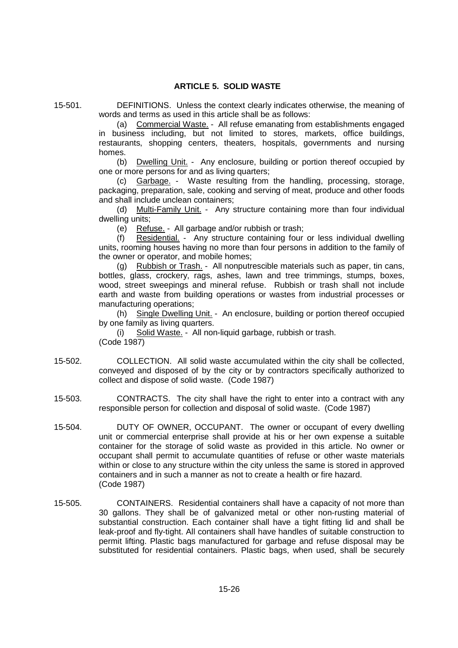## **ARTICLE 5. SOLID WASTE**

15-501. DEFINITIONS. Unless the context clearly indicates otherwise, the meaning of words and terms as used in this article shall be as follows:

(a) Commercial Waste. - All refuse emanating from establishments engaged in business including, but not limited to stores, markets, office buildings, restaurants, shopping centers, theaters, hospitals, governments and nursing homes.

(b) Dwelling Unit. - Any enclosure, building or portion thereof occupied by one or more persons for and as living quarters;

(c) Garbage. - Waste resulting from the handling, processing, storage, packaging, preparation, sale, cooking and serving of meat, produce and other foods and shall include unclean containers;

(d) Multi-Family Unit. - Any structure containing more than four individual dwelling units;

(e) Refuse. - All garbage and/or rubbish or trash;

(f) Residential. - Any structure containing four or less individual dwelling units, rooming houses having no more than four persons in addition to the family of the owner or operator, and mobile homes;

(g) Rubbish or Trash. - All nonputrescible materials such as paper, tin cans, bottles, glass, crockery, rags, ashes, lawn and tree trimmings, stumps, boxes, wood, street sweepings and mineral refuse. Rubbish or trash shall not include earth and waste from building operations or wastes from industrial processes or manufacturing operations;

(h) Single Dwelling Unit. - An enclosure, building or portion thereof occupied by one family as living quarters.

(i) Solid Waste. - All non-liquid garbage, rubbish or trash. (Code 1987)

- 15-502. COLLECTION. All solid waste accumulated within the city shall be collected, conveyed and disposed of by the city or by contractors specifically authorized to collect and dispose of solid waste. (Code 1987)
- 15-503. CONTRACTS. The city shall have the right to enter into a contract with any responsible person for collection and disposal of solid waste. (Code 1987)
- 15-504. DUTY OF OWNER, OCCUPANT. The owner or occupant of every dwelling unit or commercial enterprise shall provide at his or her own expense a suitable container for the storage of solid waste as provided in this article. No owner or occupant shall permit to accumulate quantities of refuse or other waste materials within or close to any structure within the city unless the same is stored in approved containers and in such a manner as not to create a health or fire hazard. (Code 1987)
- 15-505. CONTAINERS. Residential containers shall have a capacity of not more than 30 gallons. They shall be of galvanized metal or other non-rusting material of substantial construction. Each container shall have a tight fitting lid and shall be leak-proof and fly-tight. All containers shall have handles of suitable construction to permit lifting. Plastic bags manufactured for garbage and refuse disposal may be substituted for residential containers. Plastic bags, when used, shall be securely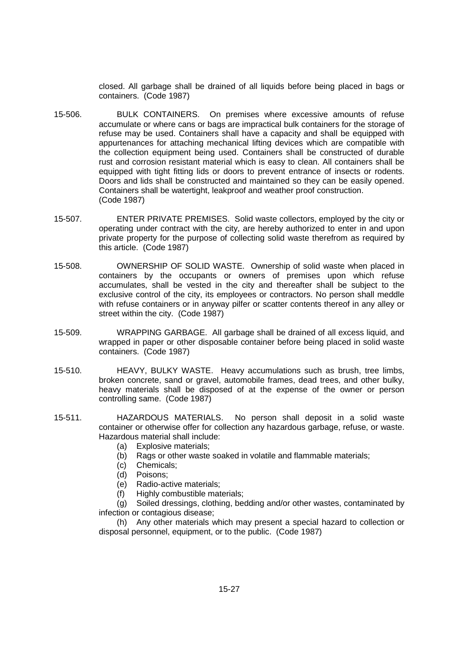closed. All garbage shall be drained of all liquids before being placed in bags or containers. (Code 1987)

- 15-506. BULK CONTAINERS. On premises where excessive amounts of refuse accumulate or where cans or bags are impractical bulk containers for the storage of refuse may be used. Containers shall have a capacity and shall be equipped with appurtenances for attaching mechanical lifting devices which are compatible with the collection equipment being used. Containers shall be constructed of durable rust and corrosion resistant material which is easy to clean. All containers shall be equipped with tight fitting lids or doors to prevent entrance of insects or rodents. Doors and lids shall be constructed and maintained so they can be easily opened. Containers shall be watertight, leakproof and weather proof construction. (Code 1987)
- 15-507. ENTER PRIVATE PREMISES. Solid waste collectors, employed by the city or operating under contract with the city, are hereby authorized to enter in and upon private property for the purpose of collecting solid waste therefrom as required by this article. (Code 1987)
- 15-508. OWNERSHIP OF SOLID WASTE. Ownership of solid waste when placed in containers by the occupants or owners of premises upon which refuse accumulates, shall be vested in the city and thereafter shall be subject to the exclusive control of the city, its employees or contractors. No person shall meddle with refuse containers or in anyway pilfer or scatter contents thereof in any alley or street within the city. (Code 1987)
- 15-509. WRAPPING GARBAGE. All garbage shall be drained of all excess liquid, and wrapped in paper or other disposable container before being placed in solid waste containers. (Code 1987)
- 15-510. HEAVY, BULKY WASTE. Heavy accumulations such as brush, tree limbs, broken concrete, sand or gravel, automobile frames, dead trees, and other bulky, heavy materials shall be disposed of at the expense of the owner or person controlling same. (Code 1987)
- 15-511. HAZARDOUS MATERIALS. No person shall deposit in a solid waste container or otherwise offer for collection any hazardous garbage, refuse, or waste. Hazardous material shall include:
	- (a) Explosive materials;
	- (b) Rags or other waste soaked in volatile and flammable materials;
	- (c) Chemicals;
	- (d) Poisons;
	- (e) Radio-active materials;
	- (f) Highly combustible materials;

(g) Soiled dressings, clothing, bedding and/or other wastes, contaminated by infection or contagious disease;

(h) Any other materials which may present a special hazard to collection or disposal personnel, equipment, or to the public. (Code 1987)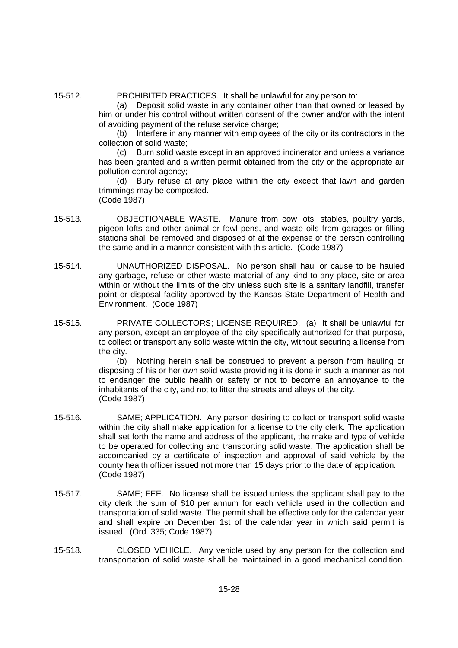15-512. PROHIBITED PRACTICES. It shall be unlawful for any person to:

(a) Deposit solid waste in any container other than that owned or leased by him or under his control without written consent of the owner and/or with the intent of avoiding payment of the refuse service charge;

(b) Interfere in any manner with employees of the city or its contractors in the collection of solid waste;

(c) Burn solid waste except in an approved incinerator and unless a variance has been granted and a written permit obtained from the city or the appropriate air pollution control agency;

(d) Bury refuse at any place within the city except that lawn and garden trimmings may be composted. (Code 1987)

- 15-513. OBJECTIONABLE WASTE. Manure from cow lots, stables, poultry yards, pigeon lofts and other animal or fowl pens, and waste oils from garages or filling stations shall be removed and disposed of at the expense of the person controlling the same and in a manner consistent with this article. (Code 1987)
- 15-514. UNAUTHORIZED DISPOSAL. No person shall haul or cause to be hauled any garbage, refuse or other waste material of any kind to any place, site or area within or without the limits of the city unless such site is a sanitary landfill, transfer point or disposal facility approved by the Kansas State Department of Health and Environment. (Code 1987)
- 15-515. PRIVATE COLLECTORS; LICENSE REQUIRED. (a) It shall be unlawful for any person, except an employee of the city specifically authorized for that purpose, to collect or transport any solid waste within the city, without securing a license from the city.

(b) Nothing herein shall be construed to prevent a person from hauling or disposing of his or her own solid waste providing it is done in such a manner as not to endanger the public health or safety or not to become an annoyance to the inhabitants of the city, and not to litter the streets and alleys of the city. (Code 1987)

- 15-516. SAME; APPLICATION. Any person desiring to collect or transport solid waste within the city shall make application for a license to the city clerk. The application shall set forth the name and address of the applicant, the make and type of vehicle to be operated for collecting and transporting solid waste. The application shall be accompanied by a certificate of inspection and approval of said vehicle by the county health officer issued not more than 15 days prior to the date of application. (Code 1987)
- 15-517. SAME; FEE. No license shall be issued unless the applicant shall pay to the city clerk the sum of \$10 per annum for each vehicle used in the collection and transportation of solid waste. The permit shall be effective only for the calendar year and shall expire on December 1st of the calendar year in which said permit is issued. (Ord. 335; Code 1987)
- 15-518. CLOSED VEHICLE. Any vehicle used by any person for the collection and transportation of solid waste shall be maintained in a good mechanical condition.